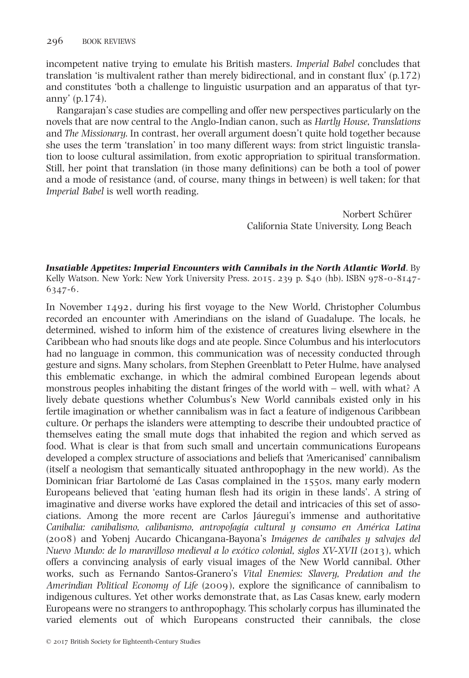incompetent native trying to emulate his British masters. Imperial Babel concludes that translation 'is multivalent rather than merely bidirectional, and in constant flux' (p.172) and constitutes 'both a challenge to linguistic usurpation and an apparatus of that tyranny' (p.174).

Rangarajan's case studies are compelling and offer new perspectives particularly on the novels that are now central to the Anglo-Indian canon, such as Hartly House, Translations and The Missionary. In contrast, her overall argument doesn't quite hold together because she uses the term 'translation' in too many different ways: from strict linguistic translation to loose cultural assimilation, from exotic appropriation to spiritual transformation. Still, her point that translation (in those many definitions) can be both a tool of power and a mode of resistance (and, of course, many things in between) is well taken; for that Imperial Babel is well worth reading.

> Norbert Schürer California State University, Long Beach

Insatiable Appetites: Imperial Encounters with Cannibals in the North Atlantic World. By Kelly Watson. New York: New York University Press. 2015. 239 p. \$40 (hb). ISBN 978-0-8147- 6347-6.

In November 1492, during his first voyage to the New World, Christopher Columbus recorded an encounter with Amerindians on the island of Guadalupe. The locals, he determined, wished to inform him of the existence of creatures living elsewhere in the Caribbean who had snouts like dogs and ate people. Since Columbus and his interlocutors had no language in common, this communication was of necessity conducted through gesture and signs. Many scholars, from Stephen Greenblatt to Peter Hulme, have analysed this emblematic exchange, in which the admiral combined European legends about monstrous peoples inhabiting the distant fringes of the world with – well, with what? A lively debate questions whether Columbus's New World cannibals existed only in his fertile imagination or whether cannibalism was in fact a feature of indigenous Caribbean culture. Or perhaps the islanders were attempting to describe their undoubted practice of themselves eating the small mute dogs that inhabited the region and which served as food. What is clear is that from such small and uncertain communications Europeans developed a complex structure of associations and beliefs that 'Americanised' cannibalism (itself a neologism that semantically situated anthropophagy in the new world). As the Dominican friar Bartolomé de Las Casas complained in the 1550s, many early modern Europeans believed that 'eating human flesh had its origin in these lands'. A string of imaginative and diverse works have explored the detail and intricacies of this set of associations. Among the more recent are Carlos Jáuregui's immense and authoritative Canibalia: canibalismo, calibanismo, antropofagía cultural y consumo en América Latina (2008) and Yobenj Aucardo Chicangana-Bayona's Imágenes de caníbales y salvajes del Nuevo Mundo: de lo maravilloso medieval a lo exótico colonial, siglos XV-XVII (2013), which offers a convincing analysis of early visual images of the New World cannibal. Other works, such as Fernando Santos-Granero's Vital Enemies: Slavery, Predation and the Amerindian Political Economy of Life (2009), explore the significance of cannibalism to indigenous cultures. Yet other works demonstrate that, as Las Casas knew, early modern Europeans were no strangers to anthropophagy. This scholarly corpus has illuminated the varied elements out of which Europeans constructed their cannibals, the close